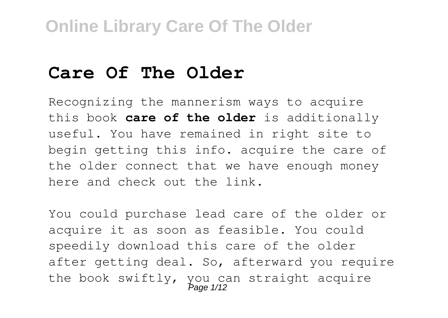### **Care Of The Older**

Recognizing the mannerism ways to acquire this book **care of the older** is additionally useful. You have remained in right site to begin getting this info. acquire the care of the older connect that we have enough money here and check out the link.

You could purchase lead care of the older or acquire it as soon as feasible. You could speedily download this care of the older after getting deal. So, afterward you require the book swiftly, you can straight acquire<br>
Page 1/12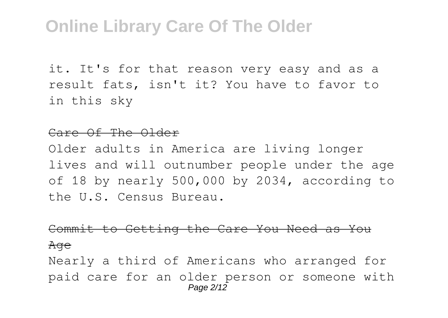it. It's for that reason very easy and as a result fats, isn't it? You have to favor to in this sky

#### Care Of The Older

Older adults in America are living longer lives and will outnumber people under the age of 18 by nearly 500,000 by 2034, according to the U.S. Census Bureau.

#### Commit to Getting the Care You Need as You

#### Age

Nearly a third of Americans who arranged for paid care for an older person or someone with Page 2/12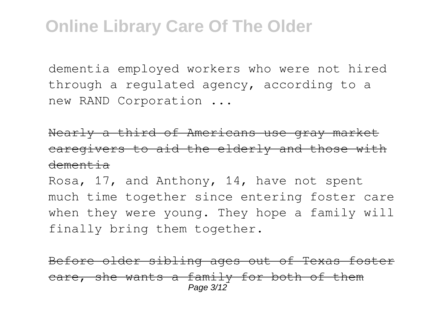dementia employed workers who were not hired through a regulated agency, according to a new RAND Corporation ...

Nearly a third of Americans use gray market caregivers to aid the elderly and those with dementia

Rosa, 17, and Anthony, 14, have not spent much time together since entering foster care when they were young. They hope a family will finally bring them together.

Before older sibling ages out of Texas foster care, she wants a family for both of them Page 3/12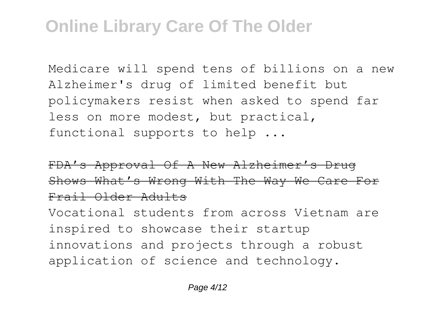Medicare will spend tens of billions on a new Alzheimer's drug of limited benefit but policymakers resist when asked to spend far less on more modest, but practical, functional supports to help ...

FDA's Approval Of A New Alzheimer's Drug Shows What's Wrong With The Way We Care For Frail Older Adults

Vocational students from across Vietnam are inspired to showcase their startup innovations and projects through a robust application of science and technology.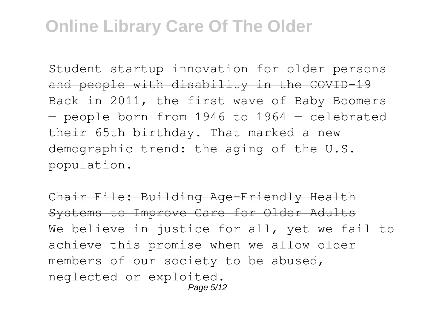Student startup innovation for older persons and people with disability in the COVID 19 Back in 2011, the first wave of Baby Boomers — people born from 1946 to 1964 — celebrated their 65th birthday. That marked a new demographic trend: the aging of the U.S. population.

Chair File: Building Age-Friendly Health Systems to Improve Care for Older Adults We believe in justice for all, yet we fail to achieve this promise when we allow older members of our society to be abused, neglected or exploited. Page 5/12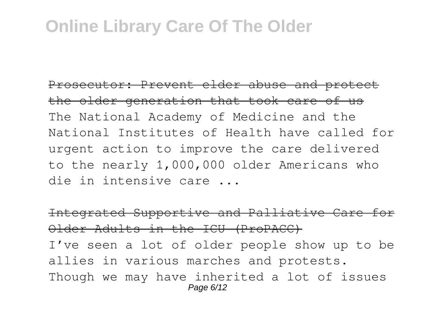Prosecutor: Prevent elder abuse and protect the older generation that took care of us The National Academy of Medicine and the National Institutes of Health have called for urgent action to improve the care delivered to the nearly 1,000,000 older Americans who die in intensive care ...

Integrated Supportive and Palliative Care for Older Adults in the ICU (ProPACC) I've seen a lot of older people show up to be allies in various marches and protests. Though we may have inherited a lot of issues Page 6/12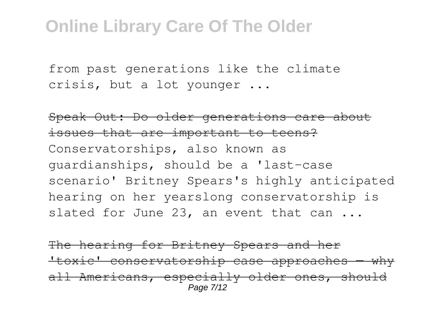from past generations like the climate crisis, but a lot younger ...

Speak Out: Do older generations care about issues that are important to teens? Conservatorships, also known as guardianships, should be a 'last-case scenario' Britney Spears's highly anticipated hearing on her yearslong conservatorship is slated for June 23, an event that can ...

The hearing for Britney Spears and her 'toxic' conservatorship case approaches — why all Americans, especially older ones, should Page 7/12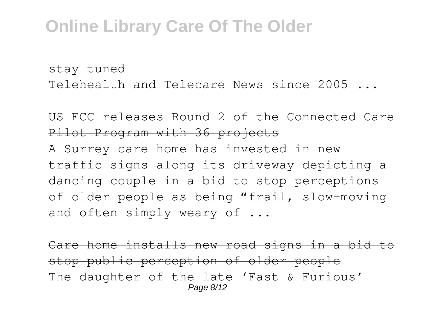stay tuned

Telehealth and Telecare News since 2005 ...

#### US FCC releases Round 2 of the Connected Care Pilot Program with 36 projects

A Surrey care home has invested in new traffic signs along its driveway depicting a dancing couple in a bid to stop perceptions of older people as being "frail, slow-moving and often simply weary of ...

Care home installs new road signs in a bid to stop public perception of older people The daughter of the late 'Fast & Furious' Page 8/12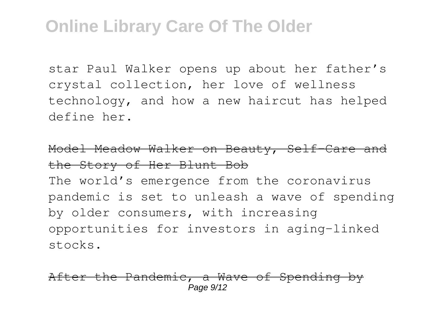star Paul Walker opens up about her father's crystal collection, her love of wellness technology, and how a new haircut has helped define her.

#### Model Meadow Walker on Beauty, Self-Care and the Story of Her Blunt Bob

The world's emergence from the coronavirus pandemic is set to unleash a wave of spending by older consumers, with increasing opportunities for investors in aging-linked stocks.

r the Pandemic, a Wave of Spending Page  $9/12$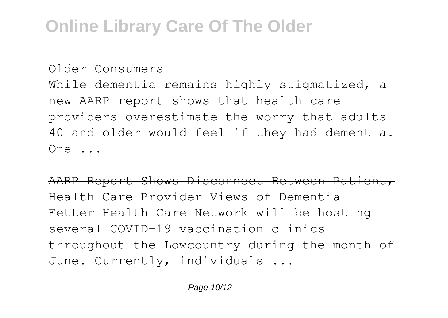#### Older Consumers

While dementia remains highly stigmatized, a new AARP report shows that health care providers overestimate the worry that adults 40 and older would feel if they had dementia. One ...

AARP Report Shows Disconnect Between Patient, Health Care Provider Views of Dementia Fetter Health Care Network will be hosting several COVID-19 vaccination clinics throughout the Lowcountry during the month of June. Currently, individuals ...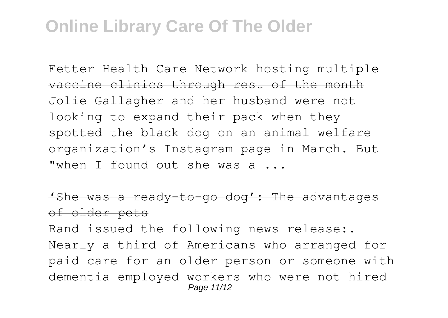Fetter Health Care Network hosting multiple vaccine clinics through rest of the month Jolie Gallagher and her husband were not looking to expand their pack when they spotted the black dog on an animal welfare organization's Instagram page in March. But "when I found out she was a ...

'She was a ready-to-go dog': The advantages of older pets

Rand issued the following news release:. Nearly a third of Americans who arranged for paid care for an older person or someone with dementia employed workers who were not hired Page 11/12